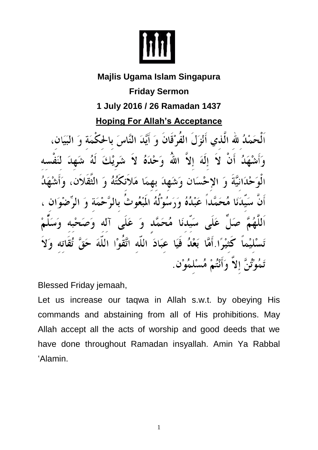

## **Majlis Ugama Islam Singapura**

**Friday Sermon 1 July 2016 / 26 Ramadan 1437**

**Hoping For Allah's Acceptance**

اَلْحَمْدُ لله الَّذي أَنْزَلَ الفُرْقَانَ وَ أَيَّدَ النَّاسَ بالحكْمَة وَ البَيَانِ، لُہ أَنْ لاَ إِلَهَ إِلاَّ اللَّهَ وَحْدَهُ لاَ شَرِيْكَ لَهُ حْدَانِيَّةً وَ الإحْسَانِ وَشَهِدَ بِهِمَا مَلاَنكَتُهُ وَ الثَّقَلاَ سَيّدَنَا مُحَمَّداً عَبْدُهُ وَرَسُوْلُهُ الَمْعُوثُ بالرَّ.  $\epsilon$ عَلَى سَيِّدنَا مُحَمَّد وَ عَلَى آله وَم كَثيْرًا أَمَّا بَعْدُ فَيَا عِبَادَ اللَّه اتَّقَوْا اللَّهَ تَمُوْتُنَّ إِلاَّ وَأَنْتُمْ مُسْلِمُوْنٍ.

Blessed Friday jemaah,

Let us increase our taqwa in Allah s.w.t. by obeying His commands and abstaining from all of His prohibitions. May Allah accept all the acts of worship and good deeds that we have done throughout Ramadan insyallah. Amin Ya Rabbal 'Alamin.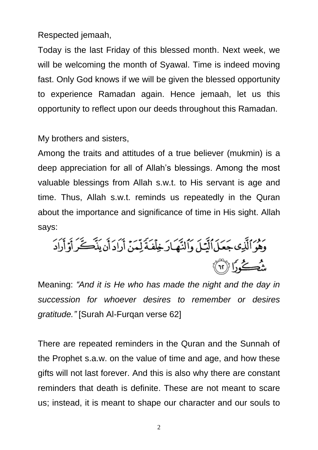Respected jemaah,

Today is the last Friday of this blessed month. Next week, we will be welcoming the month of Syawal. Time is indeed moving fast. Only God knows if we will be given the blessed opportunity to experience Ramadan again. Hence jemaah, let us this opportunity to reflect upon our deeds throughout this Ramadan.

My brothers and sisters,

Among the traits and attitudes of a true believer (mukmin) is a deep appreciation for all of Allah's blessings. Among the most valuable blessings from Allah s.w.t. to His servant is age and time. Thus, Allah s.w.t. reminds us repeatedly in the Quran about the importance and significance of time in His sight. Allah says:

Meaning: *"And it is He who has made the night and the day in succession for whoever desires to remember or desires gratitude."* [Surah Al-Furqan verse 62]

There are repeated reminders in the Quran and the Sunnah of the Prophet s.a.w. on the value of time and age, and how these gifts will not last forever. And this is also why there are constant reminders that death is definite. These are not meant to scare us; instead, it is meant to shape our character and our souls to

2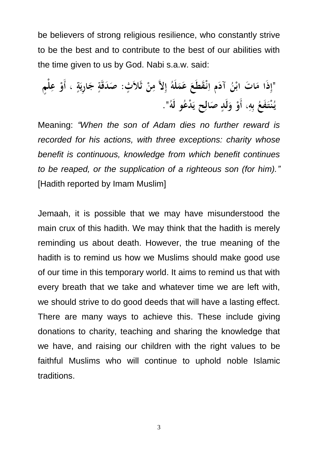be believers of strong religious resilience, who constantly strive to be the best and to contribute to the best of our abilities with the time given to us by God. Nabi s.a.w. said:

Meaning: *"When the son of Adam dies no further reward is recorded for his actions, with three exceptions: charity whose benefit is continuous, knowledge from which benefit continues to be reaped, or the supplication of a righteous son (for him)."* [Hadith reported by Imam Muslim]

Jemaah, it is possible that we may have misunderstood the main crux of this hadith. We may think that the hadith is merely reminding us about death. However, the true meaning of the hadith is to remind us how we Muslims should make good use of our time in this temporary world. It aims to remind us that with every breath that we take and whatever time we are left with, we should strive to do good deeds that will have a lasting effect. There are many ways to achieve this. These include giving donations to charity, teaching and sharing the knowledge that we have, and raising our children with the right values to be faithful Muslims who will continue to uphold noble Islamic traditions.

3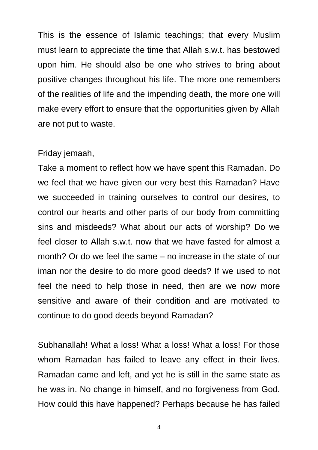This is the essence of Islamic teachings; that every Muslim must learn to appreciate the time that Allah s.w.t. has bestowed upon him. He should also be one who strives to bring about positive changes throughout his life. The more one remembers of the realities of life and the impending death, the more one will make every effort to ensure that the opportunities given by Allah are not put to waste.

## Friday jemaah,

Take a moment to reflect how we have spent this Ramadan. Do we feel that we have given our very best this Ramadan? Have we succeeded in training ourselves to control our desires, to control our hearts and other parts of our body from committing sins and misdeeds? What about our acts of worship? Do we feel closer to Allah s.w.t. now that we have fasted for almost a month? Or do we feel the same – no increase in the state of our iman nor the desire to do more good deeds? If we used to not feel the need to help those in need, then are we now more sensitive and aware of their condition and are motivated to continue to do good deeds beyond Ramadan?

Subhanallah! What a loss! What a loss! What a loss! For those whom Ramadan has failed to leave any effect in their lives. Ramadan came and left, and yet he is still in the same state as he was in. No change in himself, and no forgiveness from God. How could this have happened? Perhaps because he has failed

4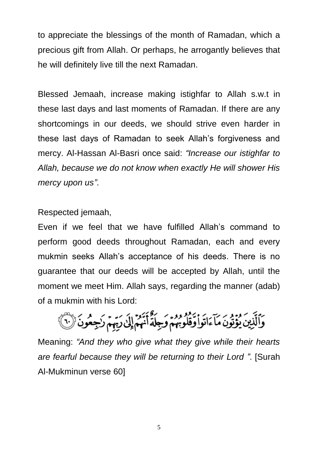to appreciate the blessings of the month of Ramadan, which a precious gift from Allah. Or perhaps, he arrogantly believes that he will definitely live till the next Ramadan.

Blessed Jemaah, increase making istighfar to Allah s.w.t in these last days and last moments of Ramadan. If there are any shortcomings in our deeds, we should strive even harder in these last days of Ramadan to seek Allah's forgiveness and mercy. Al-Hassan Al-Basri once said: *"Increase our istighfar to Allah, because we do not know when exactly He will shower His mercy upon us"*.

Respected jemaah,

Even if we feel that we have fulfilled Allah's command to perform good deeds throughout Ramadan, each and every mukmin seeks Allah's acceptance of his deeds. There is no guarantee that our deeds will be accepted by Allah, until the moment we meet Him. Allah says, regarding the manner (adab) of a mukmin with his Lord:

وَٱلَّذِينَ يُؤْتُونَ مَآءَاتَواْ وَقُلُوبُهُمْ وَجِلَةً أَنَّهُمْ إِلَىٰ رَبِّهِمْ زَجِعُونَ (١)

Meaning: *"And they who give what they give while their hearts are fearful because they will be returning to their Lord "*. [Surah Al-Mukminun verse 60]